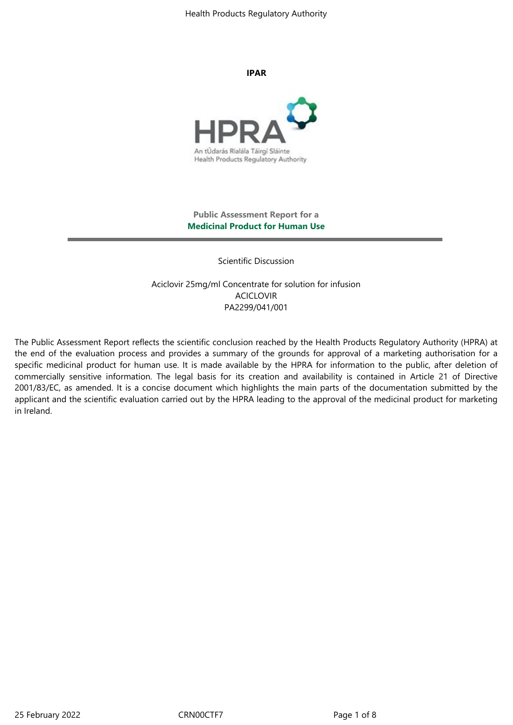Health Products Regulatory Authority

**IPAR**



## **Public Assessment Report for a Medicinal Product for Human Use**

Scientific Discussion

Aciclovir 25mg/ml Concentrate for solution for infusion ACICLOVIR PA2299/041/001

The Public Assessment Report reflects the scientific conclusion reached by the Health Products Regulatory Authority (HPRA) at the end of the evaluation process and provides a summary of the grounds for approval of a marketing authorisation for a specific medicinal product for human use. It is made available by the HPRA for information to the public, after deletion of commercially sensitive information. The legal basis for its creation and availability is contained in Article 21 of Directive 2001/83/EC, as amended. It is a concise document which highlights the main parts of the documentation submitted by the applicant and the scientific evaluation carried out by the HPRA leading to the approval of the medicinal product for marketing in Ireland.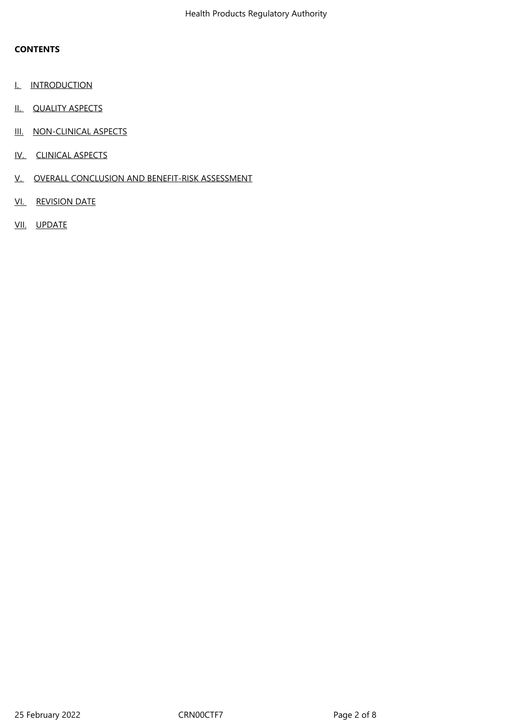## **CONTENTS**

- I. INTRODUCTION
- II. QUALITY ASPECTS
- III. NON-CLINICAL ASPECTS
- IV. CLINICAL ASPECTS
- V. OVERALL CONCLUSION AND BENEFIT-RISK ASSESSMENT
- VI. REVISION DATE
- VII. UPDATE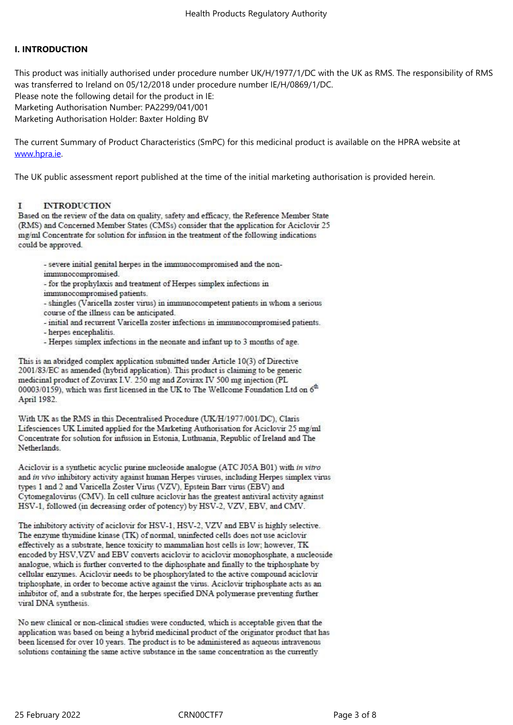## **I. INTRODUCTION**

This product was initially authorised under procedure number UK/H/1977/1/DC with the UK as RMS. The responsibility of RMS was transferred to Ireland on 05/12/2018 under procedure number IE/H/0869/1/DC.

Please note the following detail for the product in IE: Marketing Authorisation Number: PA2299/041/001

Marketing Authorisation Holder: Baxter Holding BV

The current Summary of Product Characteristics (SmPC) for this medicinal product is available on the HPRA website at www.hpra.ie.

The UK public assessment report published at the time of the initial marketing authorisation is provided herein.

#### **INTRODUCTION** т

Based on the review of the data on quality, safety and efficacy, the Reference Member State (RMS) and Concerned Member States (CMSs) consider that the application for Aciclovir 25 mg/ml Concentrate for solution for infusion in the treatment of the following indications could be approved.

- severe initial genital herpes in the immunocompromised and the nonimmunocompromised.

- for the prophylaxis and treatment of Herpes simplex infections in

immunocompromised patients.

- shingles (Varicella zoster virus) in immunocompetent patients in whom a serious course of the illness can be anticipated.

- initial and recurrent Varicella zoster infections in immunocompromised patients.

- herpes encephalitis.

- Herpes simplex infections in the neonate and infant up to 3 months of age.

This is an abridged complex application submitted under Article 10(3) of Directive 2001/83/EC as amended (hybrid application). This product is claiming to be generic medicinal product of Zovirax I.V. 250 mg and Zovirax IV 500 mg injection (PL 00003/0159), which was first licensed in the UK to The Wellcome Foundation Ltd on 6<sup>th</sup> April 1982.

With UK as the RMS in this Decentralised Procedure (UK/H/1977/001/DC), Claris Lifesciences UK Limited applied for the Marketing Authorisation for Aciclovir 25 mg/ml Concentrate for solution for infusion in Estonia, Luthuania, Republic of Ireland and The Netherlands.

Aciclovir is a synthetic acyclic purine nucleoside analogue (ATC J05A B01) with in vitro and in vivo inhibitory activity against human Herpes viruses, including Herpes simplex virus types 1 and 2 and Varicella Zoster Virus (VZV), Epstein Barr virus (EBV) and Cytomegalovirus (CMV). In cell culture aciclovir has the greatest antiviral activity against HSV-1, followed (in decreasing order of potency) by HSV-2, VZV, EBV, and CMV.

The inhibitory activity of aciclovir for HSV-1, HSV-2, VZV and EBV is highly selective. The enzyme thymidine kinase (TK) of normal, uninfected cells does not use aciclovir effectively as a substrate, hence toxicity to mammalian host cells is low; however, TK encoded by HSV, VZV and EBV converts aciclovir to aciclovir monophosphate, a nucleoside analogue, which is further converted to the diphosphate and finally to the triphosphate by cellular enzymes. Aciclovir needs to be phosphorylated to the active compound aciclovir triphosphate, in order to become active against the virus. Aciclovir triphosphate acts as an inhibitor of, and a substrate for, the herpes specified DNA polymerase preventing further viral DNA synthesis.

No new clinical or non-clinical studies were conducted, which is acceptable given that the application was based on being a hybrid medicinal product of the originator product that has been licensed for over 10 years. The product is to be administered as aqueous intravenous solutions containing the same active substance in the same concentration as the currently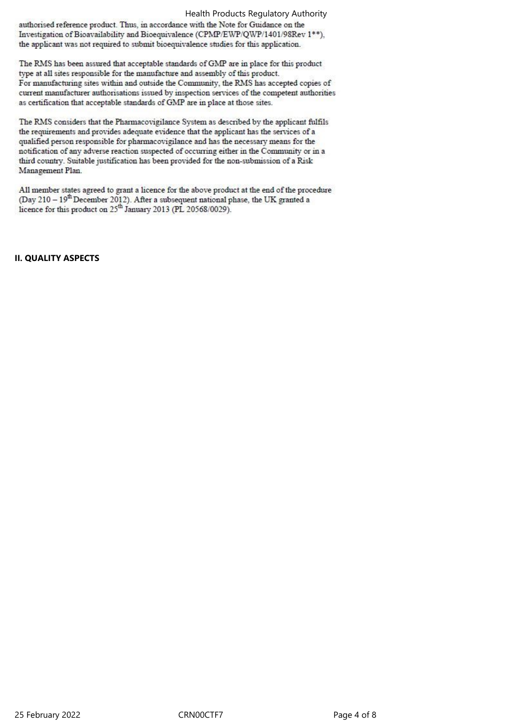Health Products Regulatory Authority

authorised reference product. Thus, in accordance with the Note for Guidance on the Investigation of Bioavailability and Bioequivalence (CPMP/EWP/QWP/1401/98Rev 1\*\*), the applicant was not required to submit bioequivalence studies for this application.

The RMS has been assured that acceptable standards of GMP are in place for this product type at all sites responsible for the manufacture and assembly of this product. For manufacturing sites within and outside the Community, the RMS has accepted copies of current manufacturer authorisations issued by inspection services of the competent authorities as certification that acceptable standards of GMP are in place at those sites.

The RMS considers that the Pharmacovigilance System as described by the applicant fulfils the requirements and provides adequate evidence that the applicant has the services of a qualified person responsible for pharmacovigilance and has the necessary means for the notification of any adverse reaction suspected of occurring either in the Community or in a third country. Suitable justification has been provided for the non-submission of a Risk Management Plan.

All member states agreed to grant a licence for the above product at the end of the procedure (Day 210 -  $19^{th}$  December 2012). After a subsequent national phase, the UK granted a licence for this product on 25<sup>th</sup> January 2013 (PL 20568/0029).

## **II. QUALITY ASPECTS**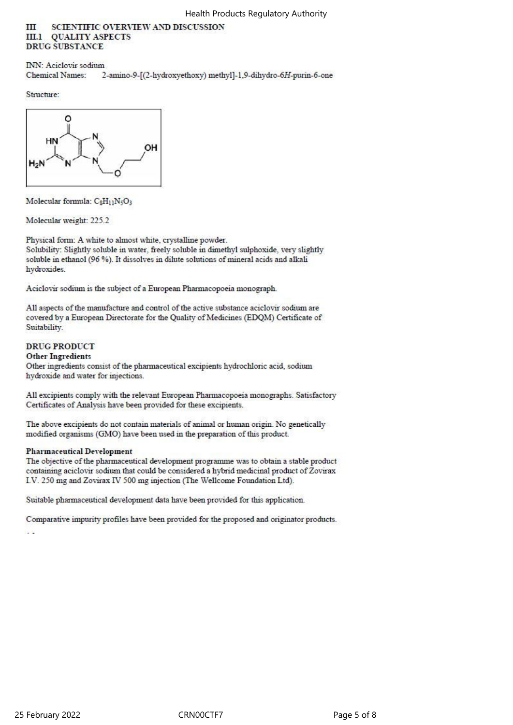#### SCIENTIFIC OVERVIEW AND DISCUSSION **TTT III.1 QUALITY ASPECTS DRUG SUBSTANCE**

**INN**: Aciclovir sodium **Chemical Names:** 2-amino-9-[(2-hydroxyethoxy) methyl]-1,9-dihydro-6H-purin-6-one

Structure:



Molecular formula: CgH11N5O3

Molecular weight: 225.2

Physical form: A white to almost white, crystalline powder. Solubility: Slightly soluble in water, freely soluble in dimethyl sulphoxide, very slightly soluble in ethanol (96 %). It dissolves in dilute solutions of mineral acids and alkali hydroxides.

Aciclovir sodium is the subject of a European Pharmacopoeia monograph.

All aspects of the manufacture and control of the active substance aciclovir sodium are covered by a European Directorate for the Quality of Medicines (EDQM) Certificate of Suitability.

## **DRUG PRODUCT**

**Other Ingredients** 

Other ingredients consist of the pharmaceutical excipients hydrochloric acid, sodium hydroxide and water for injections.

All excipients comply with the relevant European Pharmacopoeia monographs. Satisfactory Certificates of Analysis have been provided for these excipients.

The above excipients do not contain materials of animal or human origin. No genetically modified organisms (GMO) have been used in the preparation of this product.

## **Pharmaceutical Development**

The objective of the pharmaceutical development programme was to obtain a stable product containing aciclovir sodium that could be considered a hybrid medicinal product of Zovirax I.V. 250 mg and Zovirax IV 500 mg injection (The Wellcome Foundation Ltd).

Suitable pharmaceutical development data have been provided for this application.

Comparative impurity profiles have been provided for the proposed and originator products. is s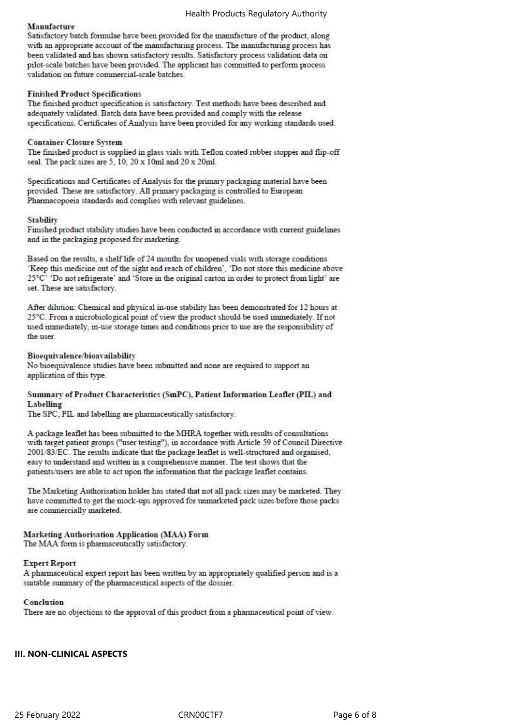## Manufacture

Satisfactory batch formulae have been provided for the manufacture of the product, along with an appropriate account of the manufacturing process. The manufacturing process has been validated and has shown satisfactory results. Satisfactory process validation data on pilot-scale batches have been provided. The applicant has committed to perform process validation on future commercial-scale batches.

## **Finished Product Specifications**

The finished product specification is satisfactory. Test methods have been described and adequately validated. Batch data have been provided and comply with the release specifications. Certificates of Analysis have been provided for any working standards used.

#### **Container Closure System**

The finished product is supplied in glass vials with Teflon coated rubber stopper and flip-off seal. The pack sizes are 5, 10, 20 x 10ml and 20 x 20ml.

Specifications and Certificates of Analysis for the primary packaging material have been provided. These are satisfactory. All primary packaging is controlled to European Pharmacopoeia standards and complies with relevant guidelines.

#### Stability

Finished product stability studies have been conducted in accordance with current guidelines and in the packaging proposed for marketing.

Based on the results, a shelf life of 24 months for unopened vials with storage conditions 'Keep this medicine out of the sight and reach of children', 'Do not store this medicine above 25°C' 'Do not refrigerate' and 'Store in the original carton in order to protect from light' are set. These are satisfactory.

After dilution: Chemical and physical in-use stability has been demonstrated for 12 hours at 25°C. From a microbiological point of view the product should be used immediately. If not used immediately, in-use storage times and conditions prior to use are the responsibility of the user.

## Bioequivalence/bioavailability

No bioequivalence studies have been submitted and none are required to support an application of this type.

## Summary of Product Characteristics (SmPC), Patient Information Leaflet (PIL) and Labelling

The SPC, PIL and labelling are pharmaceutically satisfactory.

A package leaflet has been submitted to the MHRA together with results of consultations with target patient groups ("user testing"), in accordance with Article 59 of Council Directive 2001/83/EC. The results indicate that the package leaflet is well-structured and organised, easy to understand and written in a comprehensive manner. The test shows that the patients/users are able to act upon the information that the package leaflet contains.

The Marketing Authorisation holder has stated that not all pack sizes may be marketed. They have committed to get the mock-ups approved for unmarketed pack sizes before those packs are commercially marketed.

## Marketing Authorisation Application (MAA) Form

The MAA form is pharmaceutically satisfactory.

## **Expert Report**

A pharmaceutical expert report has been written by an appropriately qualified person and is a suitable summary of the pharmaceutical aspects of the dossier.

#### Conclusion

There are no objections to the approval of this product from a pharmaceutical point of view.

## **III. NON-CLINICAL ASPECTS**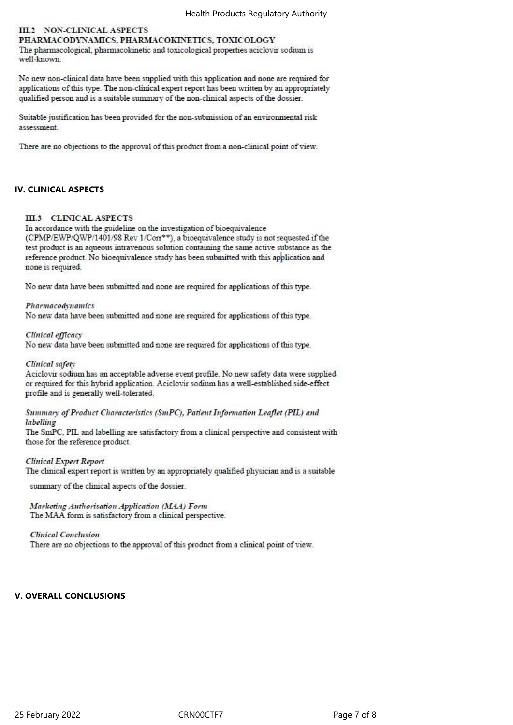## III.2 NON-CLINICAL ASPECTS PHARMACODYNAMICS, PHARMACOKINETICS, TOXICOLOGY

The pharmacological, pharmacokinetic and toxicological properties aciclovir sodium is well-known.

No new non-clinical data have been supplied with this application and none are required for applications of this type. The non-clinical expert report has been written by an appropriately qualified person and is a suitable summary of the non-clinical aspects of the dossier.

Suitable justification has been provided for the non-submission of an environmental risk assessment.

There are no objections to the approval of this product from a non-clinical point of view.

## **IV. CLINICAL ASPECTS**

## **III.3 CLINICAL ASPECTS**

In accordance with the guideline on the investigation of bioequivalence (CPMP/EWP/QWP/1401/98 Rev 1/Corr\*\*), a bioequivalence study is not requested if the test product is an aqueous intravenous solution containing the same active substance as the reference product. No bioequivalence study has been submitted with this application and none is required.

No new data have been submitted and none are required for applications of this type.

#### Pharmacodynamics

No new data have been submitted and none are required for applications of this type.

#### Clinical efficacy

No new data have been submitted and none are required for applications of this type.

#### Clinical safety

Aciclovir sodium has an acceptable adverse event profile. No new safety data were supplied or required for this hybrid application. Aciclovir sodium has a well-established side-effect profile and is generally well-tolerated.

#### Summary of Product Characteristics (SmPC), Patient Information Leaflet (PIL) and labelling

The SmPC, PIL and labelling are satisfactory from a clinical perspective and consistent with those for the reference product.

## **Clinical Expert Report**

The clinical expert report is written by an appropriately qualified physician and is a suitable

summary of the clinical aspects of the dossier.

Marketing Authorisation Application (MAA) Form The MAA form is satisfactory from a clinical perspective.

#### **Clinical Conclusion**

There are no objections to the approval of this product from a clinical point of view.

## **V. OVERALL CONCLUSIONS**